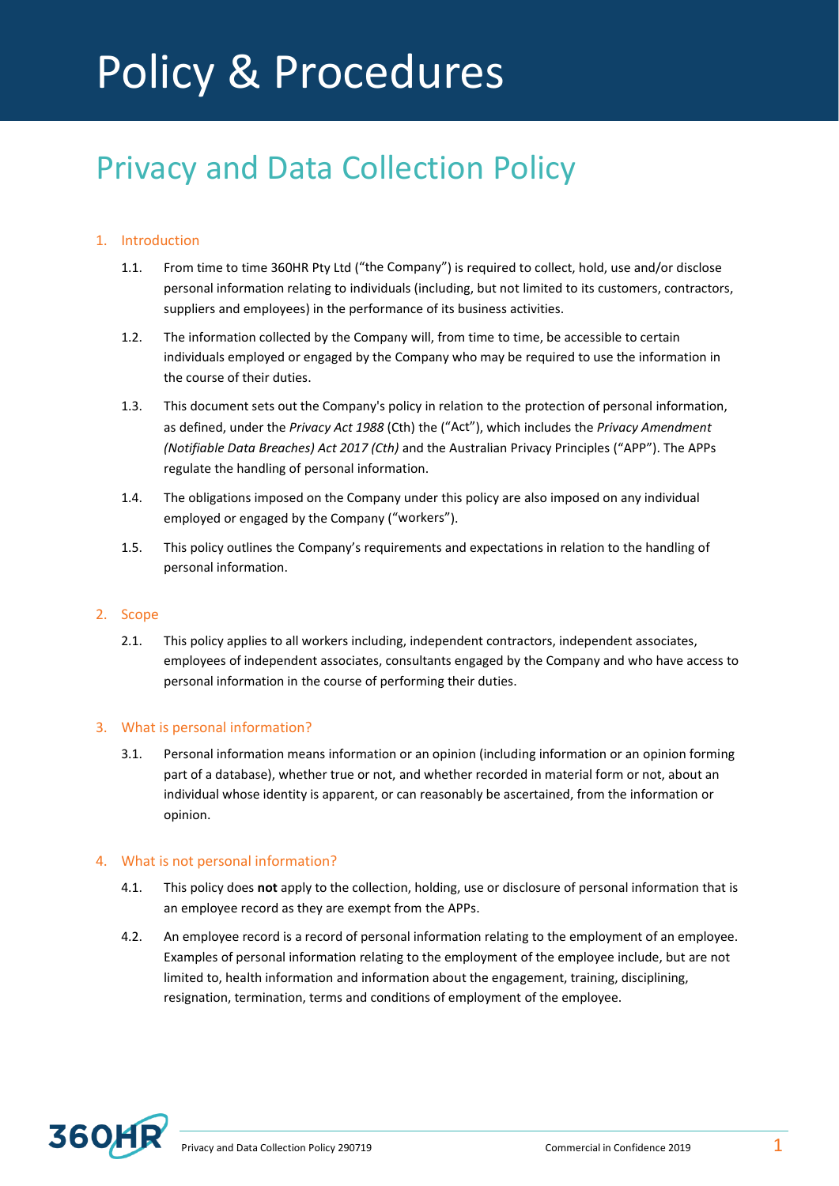# Policy & Procedures

# Privacy and Data Collection Policy

# 1. Introduction

- 1.1. From time to time 360HR Pty Ltd ("the Company") is required to collect, hold, use and/or disclose personal information relating to individuals (including, but not limited to its customers, contractors, suppliers and employees) in the performance of its business activities.
- 1.2. The information collected by the Company will, from time to time, be accessible to certain individuals employed or engaged by the Company who may be required to use the information in the course of their duties.
- 1.3. This document sets out the Company's policy in relation to the protection of personal information, as defined, under the *Privacy Act 1988* (Cth) the ("Act"), which includes the *Privacy Amendment (Notifiable Data Breaches) Act 2017 (Cth)* and the Australian Privacy Principles ("APP"). The APPs regulate the handling of personal information.
- 1.4. The obligations imposed on the Company under this policy are also imposed on any individual employed or engaged by the Company ("workers").
- 1.5. This policy outlines the Company's requirements and expectations in relation to the handling of personal information.

# 2. Scope

2.1. This policy applies to all workers including, independent contractors, independent associates, employees of independent associates, consultants engaged by the Company and who have access to personal information in the course of performing their duties.

# 3. What is personal information?

3.1. Personal information means information or an opinion (including information or an opinion forming part of a database), whether true or not, and whether recorded in material form or not, about an individual whose identity is apparent, or can reasonably be ascertained, from the information or opinion.

# 4. What is not personal information?

- 4.1. This policy does **not** apply to the collection, holding, use or disclosure of personal information that is an employee record as they are exempt from the APPs.
- 4.2. An employee record is a record of personal information relating to the employment of an employee. Examples of personal information relating to the employment of the employee include, but are not limited to, health information and information about the engagement, training, disciplining, resignation, termination, terms and conditions of employment of the employee.

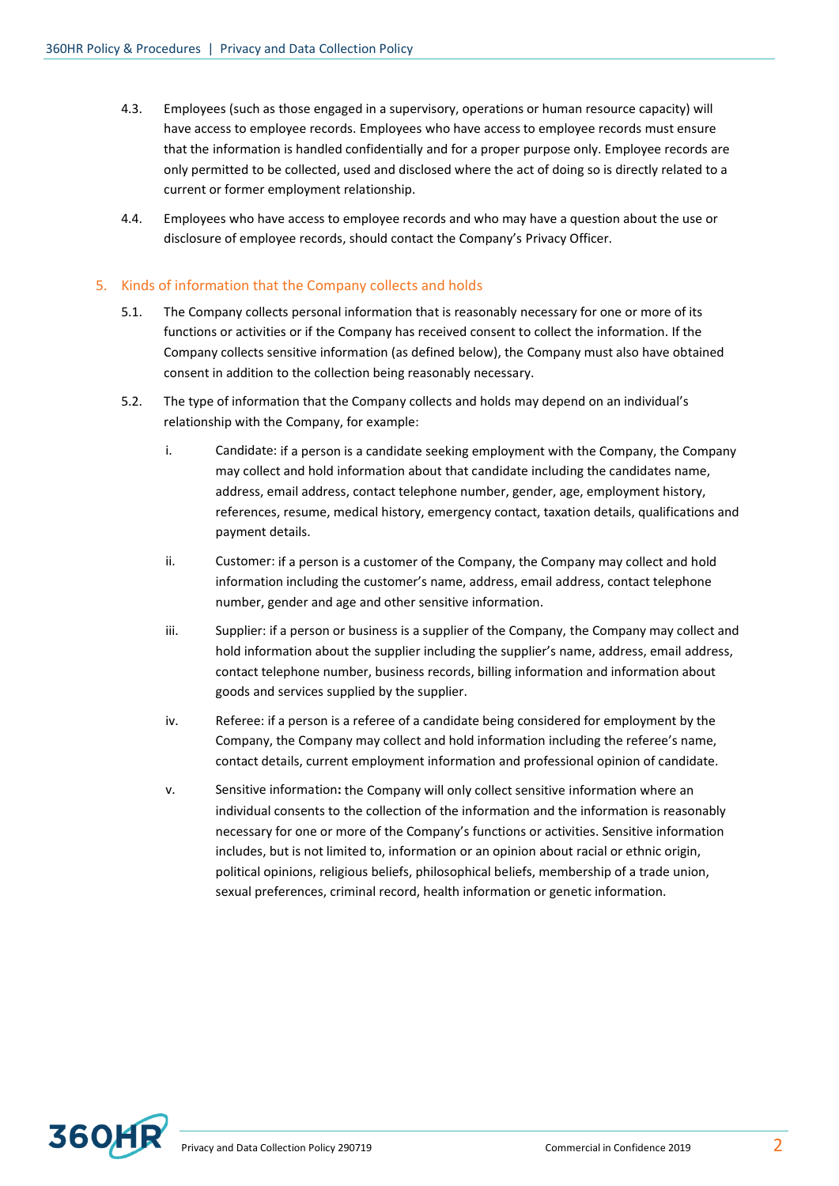- 4.3. Employees (such as those engaged in a supervisory, operations or human resource capacity) will have access to employee records. Employees who have access to employee records must ensure that the information is handled confidentially and for a proper purpose only. Employee records are only permitted to be collected, used and disclosed where the act of doing so is directly related to a current or former employment relationship.
- 4.4. Employees who have access to employee records and who may have a question about the use or disclosure of employee records, should contact the Company's Privacy Officer.

### 5. Kinds of information that the Company collects and holds

- 5.1. The Company collects personal information that is reasonably necessary for one or more of its functions or activities or if the Company has received consent to collect the information. If the Company collects sensitive information (as defined below), the Company must also have obtained consent in addition to the collection being reasonably necessary.
- 5.2. The type of information that the Company collects and holds may depend on an individual's relationship with the Company, for example:
	- i. Candidate: if a person is a candidate seeking employment with the Company, the Company may collect and hold information about that candidate including the candidates name, address, email address, contact telephone number, gender, age, employment history, references, resume, medical history, emergency contact, taxation details, qualifications and payment details.
	- ii. Customer: if a person is a customer of the Company, the Company may collect and hold information including the customer's name, address, email address, contact telephone number, gender and age and other sensitive information.
	- iii. Supplier: if a person or business is a supplier of the Company, the Company may collect and hold information about the supplier including the supplier's name, address, email address, contact telephone number, business records, billing information and information about goods and services supplied by the supplier.
	- iv. Referee: if a person is a referee of a candidate being considered for employment by the Company, the Company may collect and hold information including the referee's name, contact details, current employment information and professional opinion of candidate.
	- v. Sensitive information**:** the Company will only collect sensitive information where an individual consents to the collection of the information and the information is reasonably necessary for one or more of the Company's functions or activities. Sensitive information includes, but is not limited to, information or an opinion about racial or ethnic origin, political opinions, religious beliefs, philosophical beliefs, membership of a trade union, sexual preferences, criminal record, health information or genetic information.

<span id="page-1-0"></span>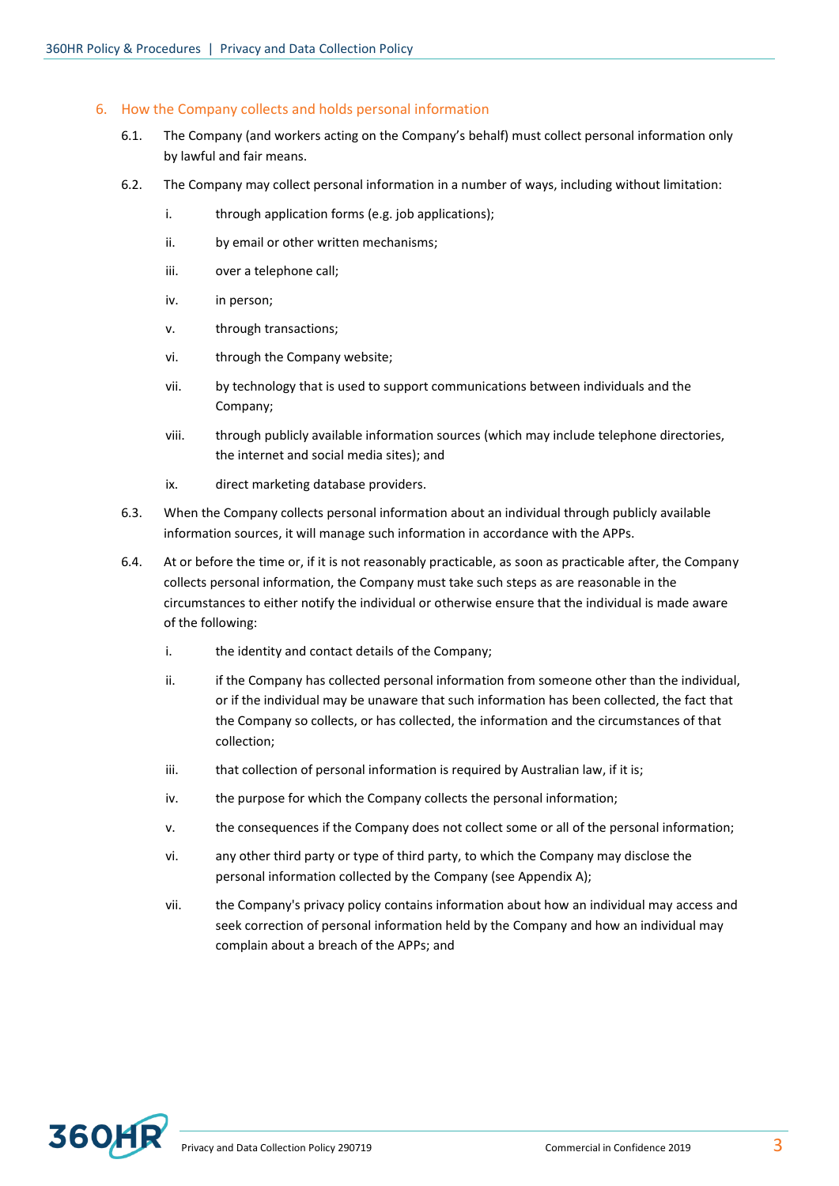#### 6. How the Company collects and holds personal information

- 6.1. The Company (and workers acting on the Company's behalf) must collect personal information only by lawful and fair means.
- 6.2. The Company may collect personal information in a number of ways, including without limitation:
	- i. through application forms (e.g. job applications);
	- ii. by email or other written mechanisms;
	- iii. over a telephone call;
	- iv. in person;
	- v. through transactions;
	- vi. through the Company website;
	- vii. by technology that is used to support communications between individuals and the Company;
	- viii. through publicly available information sources (which may include telephone directories, the internet and social media sites); and
	- ix. direct marketing database providers.
- 6.3. When the Company collects personal information about an individual through publicly available information sources, it will manage such information in accordance with the APPs.
- 6.4. At or before the time or, if it is not reasonably practicable, as soon as practicable after, the Company collects personal information, the Company must take such steps as are reasonable in the circumstances to either notify the individual or otherwise ensure that the individual is made aware of the following:
	- i. the identity and contact details of the Company;
	- ii. if the Company has collected personal information from someone other than the individual, or if the individual may be unaware that such information has been collected, the fact that the Company so collects, or has collected, the information and the circumstances of that collection;
	- iii. that collection of personal information is required by Australian law, if it is;
	- iv. the purpose for which the Company collects the personal information:
	- v. the consequences if the Company does not collect some or all of the personal information;
	- vi. any other third party or type of third party, to which the Company may disclose the personal information collected by the Company (see Appendix A);
	- vii. the Company's privacy policy contains information about how an individual may access and seek correction of personal information held by the Company and how an individual may complain about a breach of the APPs; and

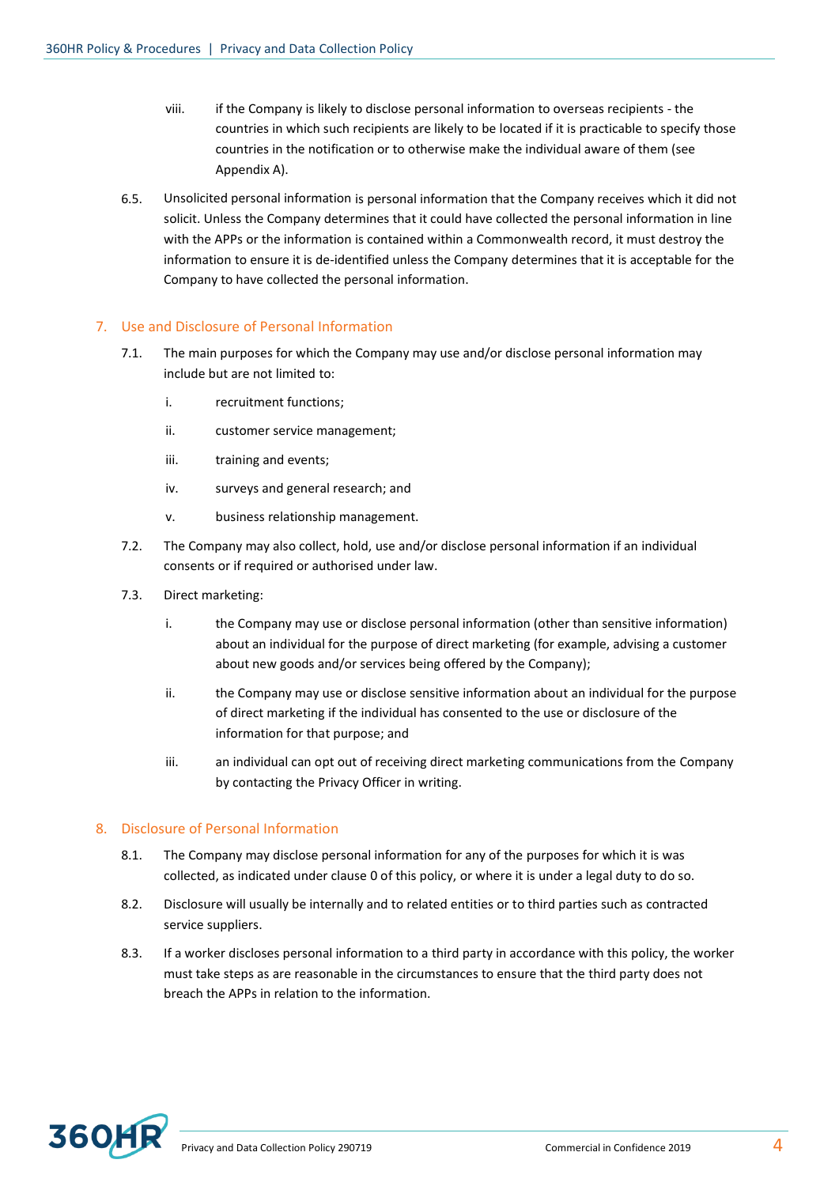- viii. if the Company is likely to disclose personal information to overseas recipients the countries in which such recipients are likely to be located if it is practicable to specify those countries in the notification or to otherwise make the individual aware of them (see Appendix A).
- 6.5. Unsolicited personal information is personal information that the Company receives which it did not solicit. Unless the Company determines that it could have collected the personal information in line with the APPs or the information is contained within a Commonwealth record, it must destroy the information to ensure it is de-identified unless the Company determines that it is acceptable for the Company to have collected the personal information.

#### 7. Use and Disclosure of Personal Information

- 7.1. The main purposes for which the Company may use and/or disclose personal information may include but are not limited to:
	- i. recruitment functions;
	- ii. customer service management;
	- iii. training and events;
	- iv. surveys and general research; and
	- v. business relationship management.
- 7.2. The Company may also collect, hold, use and/or disclose personal information if an individual consents or if required or authorised under law.
- 7.3. Direct marketing:
	- i. the Company may use or disclose personal information (other than sensitive information) about an individual for the purpose of direct marketing (for example, advising a customer about new goods and/or services being offered by the Company);
	- ii. the Company may use or disclose sensitive information about an individual for the purpose of direct marketing if the individual has consented to the use or disclosure of the information for that purpose; and
	- iii. an individual can opt out of receiving direct marketing communications from the Company by contacting the Privacy Officer in writing.

# 8. Disclosure of Personal Information

- 8.1. The Company may disclose personal information for any of the purposes for which it is was collected, as indicated under clause [0](#page-1-0) of this policy, or where it is under a legal duty to do so.
- 8.2. Disclosure will usually be internally and to related entities or to third parties such as contracted service suppliers.
- 8.3. If a worker discloses personal information to a third party in accordance with this policy, the worker must take steps as are reasonable in the circumstances to ensure that the third party does not breach the APPs in relation to the information.

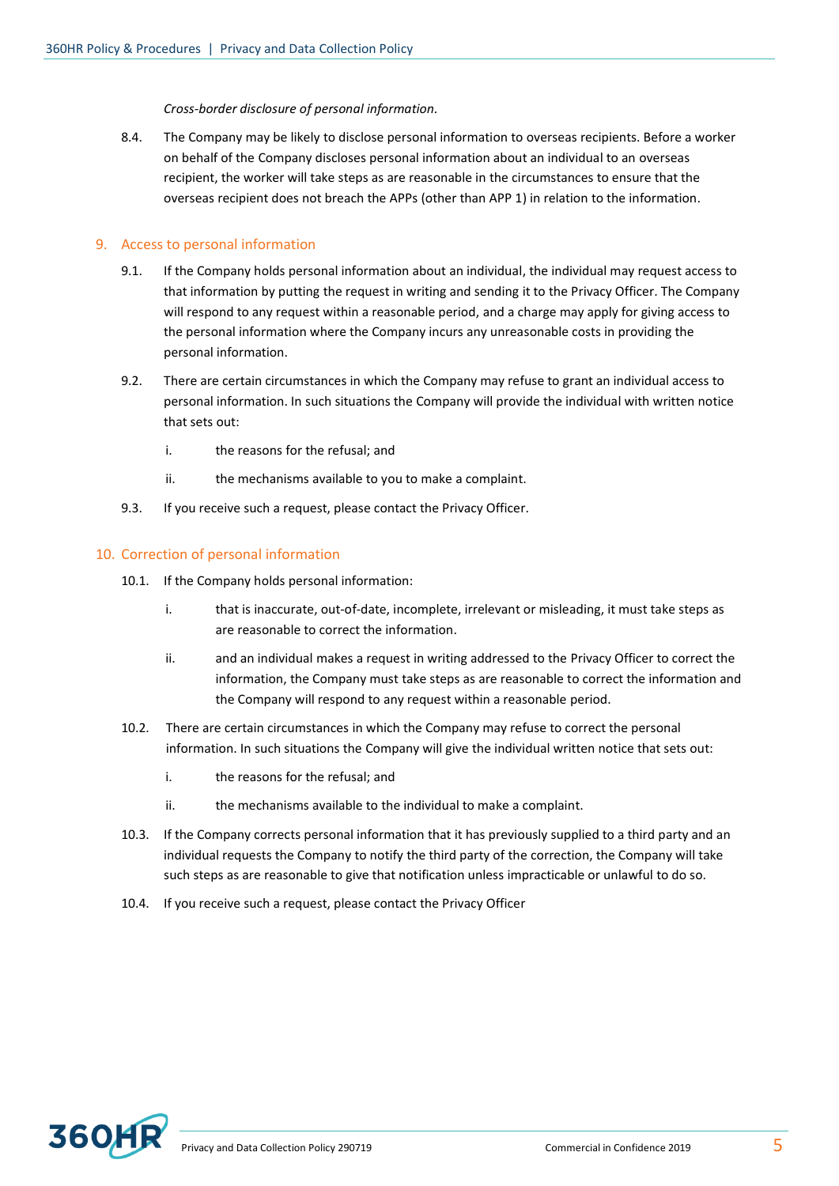*Cross-border disclosure of personal information.* 

8.4. The Company may be likely to disclose personal information to overseas recipients. Before a worker on behalf of the Company discloses personal information about an individual to an overseas recipient, the worker will take steps as are reasonable in the circumstances to ensure that the overseas recipient does not breach the APPs (other than APP 1) in relation to the information.

#### 9. Access to personal information

- 9.1. If the Company holds personal information about an individual, the individual may request access to that information by putting the request in writing and sending it to the Privacy Officer. The Company will respond to any request within a reasonable period, and a charge may apply for giving access to the personal information where the Company incurs any unreasonable costs in providing the personal information.
- 9.2. There are certain circumstances in which the Company may refuse to grant an individual access to personal information. In such situations the Company will provide the individual with written notice that sets out:
	- i. the reasons for the refusal; and
	- ii. the mechanisms available to you to make a complaint.
- 9.3. If you receive such a request, please contact the Privacy Officer.

# 10. Correction of personal information

- 10.1. If the Company holds personal information:
	- i. that is inaccurate, out-of-date, incomplete, irrelevant or misleading, it must take steps as are reasonable to correct the information.
	- ii. and an individual makes a request in writing addressed to the Privacy Officer to correct the information, the Company must take steps as are reasonable to correct the information and the Company will respond to any request within a reasonable period.
- 10.2. There are certain circumstances in which the Company may refuse to correct the personal information. In such situations the Company will give the individual written notice that sets out:
	- i. the reasons for the refusal; and
	- ii. the mechanisms available to the individual to make a complaint.
- 10.3. If the Company corrects personal information that it has previously supplied to a third party and an individual requests the Company to notify the third party of the correction, the Company will take such steps as are reasonable to give that notification unless impracticable or unlawful to do so.
- 10.4. If you receive such a request, please contact the Privacy Officer

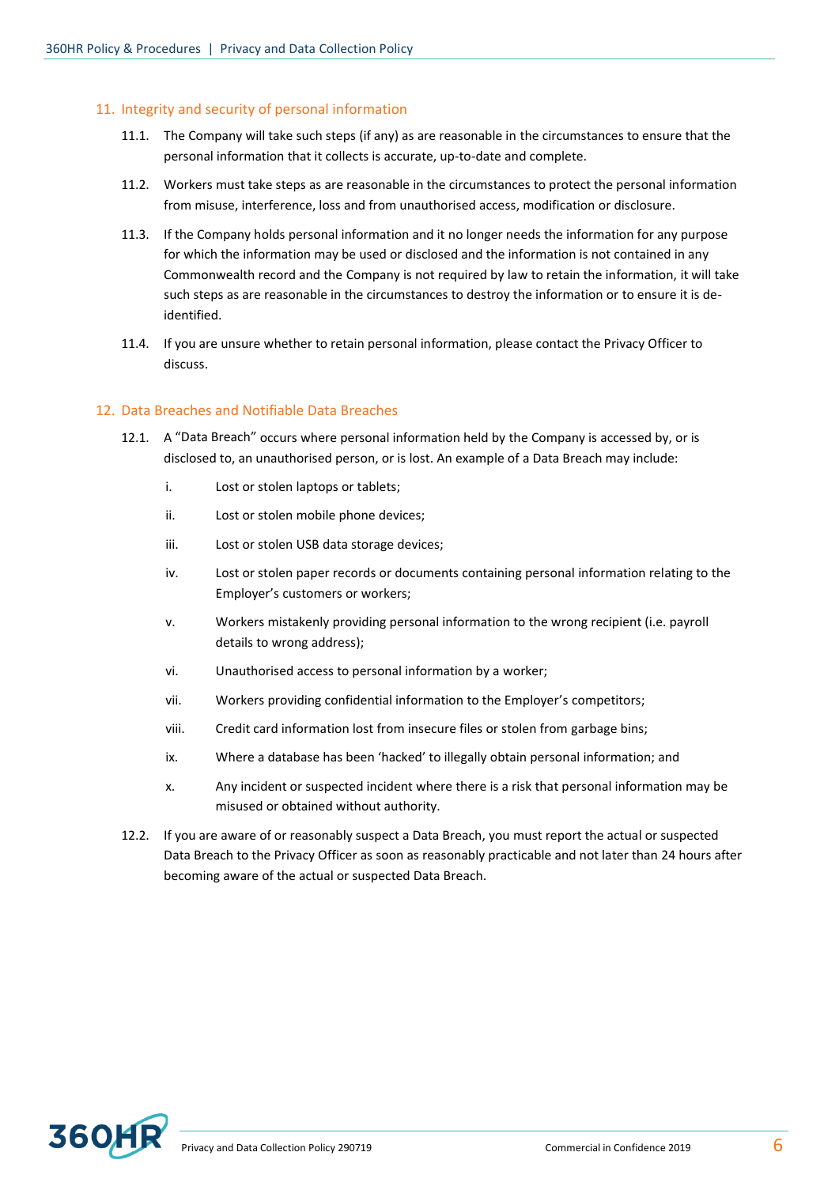### 11. Integrity and security of personal information

- 11.1. The Company will take such steps (if any) as are reasonable in the circumstances to ensure that the personal information that it collects is accurate, up-to-date and complete.
- 11.2. Workers must take steps as are reasonable in the circumstances to protect the personal information from misuse, interference, loss and from unauthorised access, modification or disclosure.
- 11.3. If the Company holds personal information and it no longer needs the information for any purpose for which the information may be used or disclosed and the information is not contained in any Commonwealth record and the Company is not required by law to retain the information, it will take such steps as are reasonable in the circumstances to destroy the information or to ensure it is deidentified.
- 11.4. If you are unsure whether to retain personal information, please contact the Privacy Officer to discuss.

#### 12. Data Breaches and Notifiable Data Breaches

- 12.1. A "Data Breach" occurs where personal information held by the Company is accessed by, or is disclosed to, an unauthorised person, or is lost. An example of a Data Breach may include:
	- i. Lost or stolen laptops or tablets;
	- ii. Lost or stolen mobile phone devices;
	- iii. Lost or stolen USB data storage devices;
	- iv. Lost or stolen paper records or documents containing personal information relating to the Employer's customers or workers;
	- v. Workers mistakenly providing personal information to the wrong recipient (i.e. payroll details to wrong address);
	- vi. Unauthorised access to personal information by a worker;
	- vii. Workers providing confidential information to the Employer's competitors;
	- viii. Credit card information lost from insecure files or stolen from garbage bins;
	- ix. Where a database has been 'hacked' to illegally obtain personal information; and
	- x. Any incident or suspected incident where there is a risk that personal information may be misused or obtained without authority.
- 12.2. If you are aware of or reasonably suspect a Data Breach, you must report the actual or suspected Data Breach to the Privacy Officer as soon as reasonably practicable and not later than 24 hours after becoming aware of the actual or suspected Data Breach.

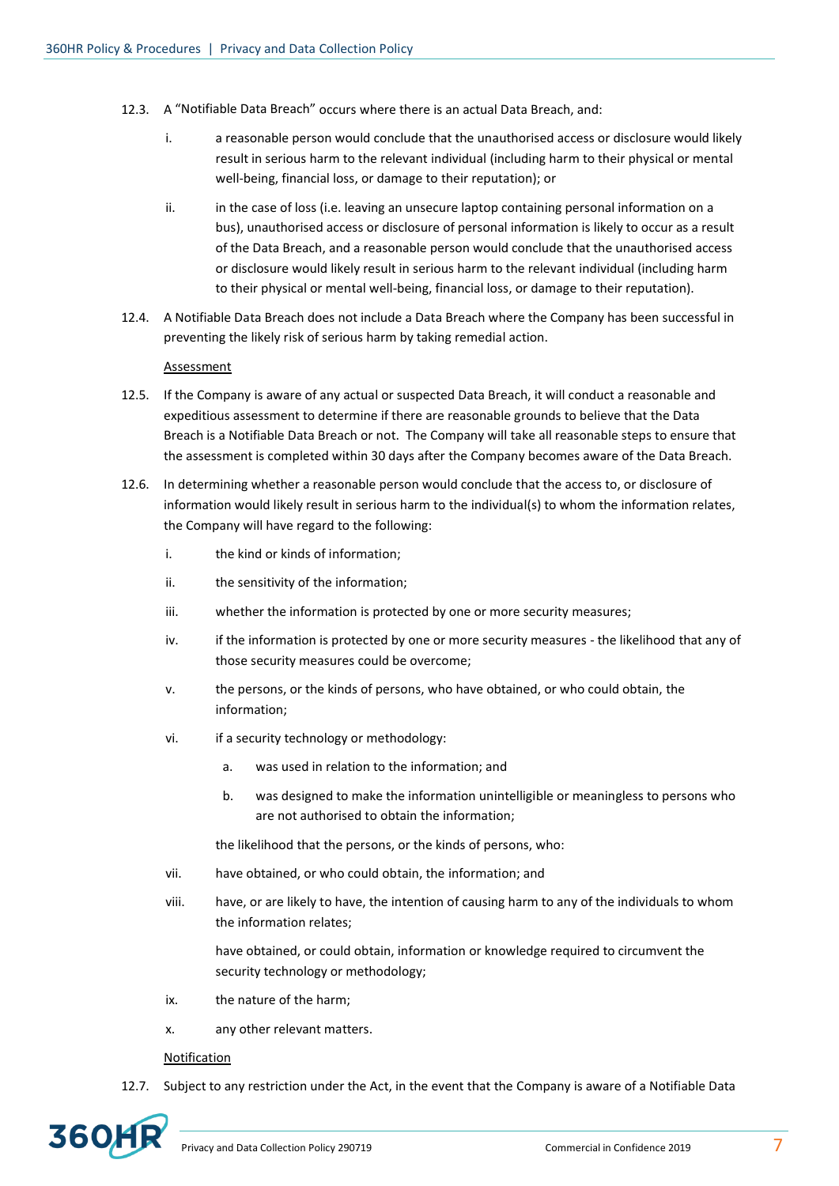- 12.3. A "Notifiable Data Breach" occurs where there is an actual Data Breach, and:
	- i. a reasonable person would conclude that the unauthorised access or disclosure would likely result in serious harm to the relevant individual (including harm to their physical or mental well-being, financial loss, or damage to their reputation); or
	- ii. in the case of loss (i.e. leaving an unsecure laptop containing personal information on a bus), unauthorised access or disclosure of personal information is likely to occur as a result of the Data Breach, and a reasonable person would conclude that the unauthorised access or disclosure would likely result in serious harm to the relevant individual (including harm to their physical or mental well-being, financial loss, or damage to their reputation).
- 12.4. A Notifiable Data Breach does not include a Data Breach where the Company has been successful in preventing the likely risk of serious harm by taking remedial action.

#### Assessment

- 12.5. If the Company is aware of any actual or suspected Data Breach, it will conduct a reasonable and expeditious assessment to determine if there are reasonable grounds to believe that the Data Breach is a Notifiable Data Breach or not. The Company will take all reasonable steps to ensure that the assessment is completed within 30 days after the Company becomes aware of the Data Breach.
- 12.6. In determining whether a reasonable person would conclude that the access to, or disclosure of information would likely result in serious harm to the individual(s) to whom the information relates, the Company will have regard to the following:
	- i. the kind or kinds of information;
	- ii. the sensitivity of the information;
	- iii. whether the information is protected by one or more security measures;
	- iv. if the information is protected by one or more security measures the likelihood that any of those security measures could be overcome;
	- v. the persons, or the kinds of persons, who have obtained, or who could obtain, the information;
	- vi. if a security technology or methodology:
		- a. was used in relation to the information; and
		- b. was designed to make the information unintelligible or meaningless to persons who are not authorised to obtain the information;

the likelihood that the persons, or the kinds of persons, who:

- vii. have obtained, or who could obtain, the information; and
- viii. have, or are likely to have, the intention of causing harm to any of the individuals to whom the information relates;

have obtained, or could obtain, information or knowledge required to circumvent the security technology or methodology;

- ix. the nature of the harm;
- x. any other relevant matters.

#### Notification

12.7. Subject to any restriction under the Act, in the event that the Company is aware of a Notifiable Data

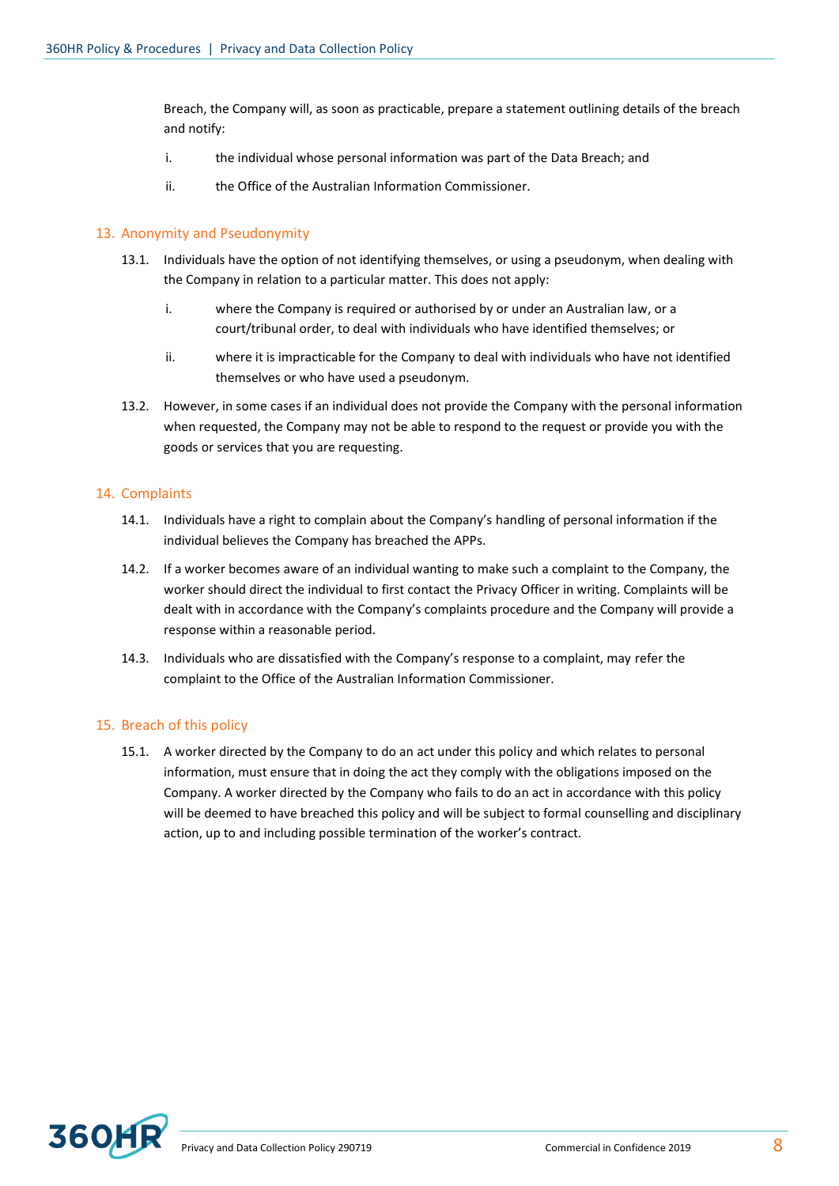Breach, the Company will, as soon as practicable, prepare a statement outlining details of the breach and notify:

- i. the individual whose personal information was part of the Data Breach; and
- ii. the Office of the Australian Information Commissioner.

# 13. Anonymity and Pseudonymity

- 13.1. Individuals have the option of not identifying themselves, or using a pseudonym, when dealing with the Company in relation to a particular matter. This does not apply:
	- i. where the Company is required or authorised by or under an Australian law, or a court/tribunal order, to deal with individuals who have identified themselves; or
	- ii. where it is impracticable for the Company to deal with individuals who have not identified themselves or who have used a pseudonym.
- 13.2. However, in some cases if an individual does not provide the Company with the personal information when requested, the Company may not be able to respond to the request or provide you with the goods or services that you are requesting.

#### 14. Complaints

- 14.1. Individuals have a right to complain about the Company's handling of personal information if the individual believes the Company has breached the APPs.
- 14.2. If a worker becomes aware of an individual wanting to make such a complaint to the Company, the worker should direct the individual to first contact the Privacy Officer in writing. Complaints will be dealt with in accordance with the Company's complaints procedure and the Company will provide a response within a reasonable period.
- 14.3. Individuals who are dissatisfied with the Company's response to a complaint, may refer the complaint to the Office of the Australian Information Commissioner.

# 15. Breach of this policy

15.1. A worker directed by the Company to do an act under this policy and which relates to personal information, must ensure that in doing the act they comply with the obligations imposed on the Company. A worker directed by the Company who fails to do an act in accordance with this policy will be deemed to have breached this policy and will be subject to formal counselling and disciplinary action, up to and including possible termination of the worker's contract.

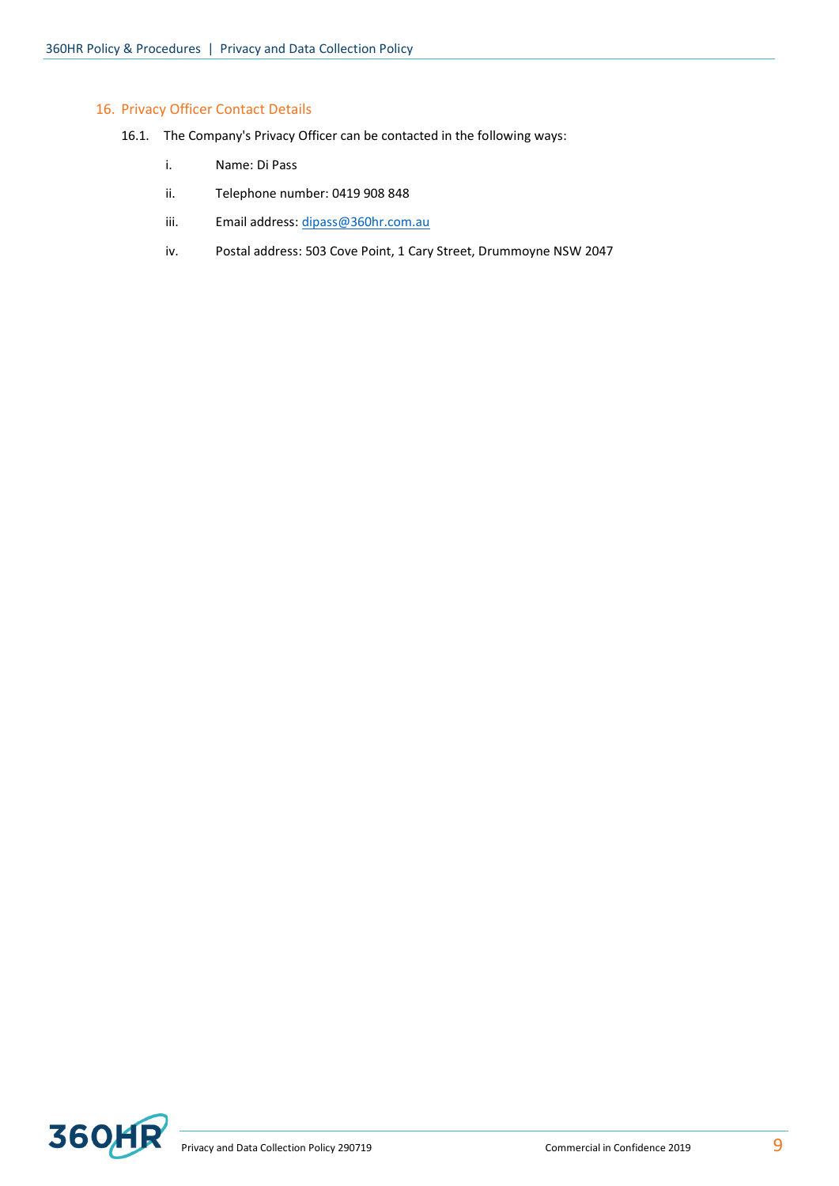### 16. Privacy Officer Contact Details

- 16.1. The Company's Privacy Officer can be contacted in the following ways:
	- i. Name: Di Pass
	- ii. Telephone number: 0419 908 848
	- iii. Email address: [dipass@360hr.com.au](mailto:dipass@360hr.com.au)
	- iv. Postal address: 503 Cove Point, 1 Cary Street, Drummoyne NSW 2047